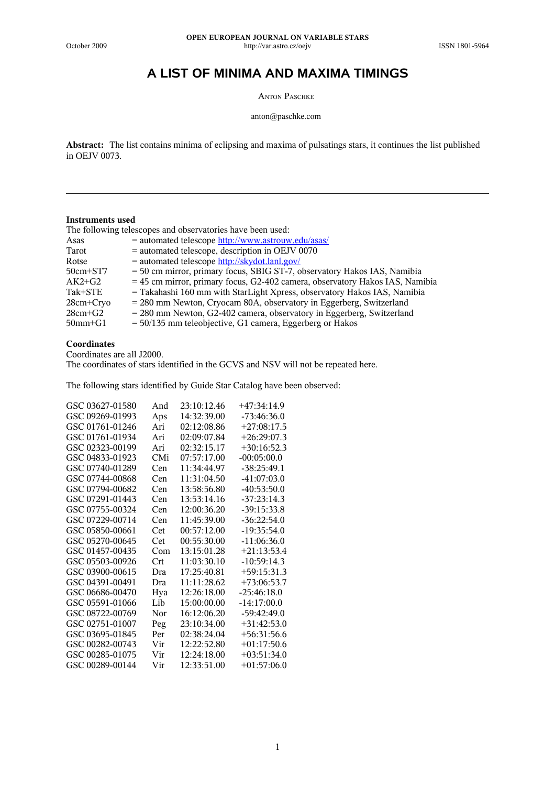# **A LIST OF MINIMA AND MAXIMA TIMINGS**

ANTON PASCHKE

anton@paschke.com

**Abstract:** The list contains minima of eclipsing and maxima of pulsatings stars, it continues the list published in OEJV 0073.

#### **Instruments used**

The following telescopes and observatories have been used:

| Asas          | = automated telescope http://www.astrouw.edu/asas/                             |
|---------------|--------------------------------------------------------------------------------|
| Tarot         | $=$ automated telescope, description in OEJV 0070                              |
| Rotse         | = automated telescope http://skydot.lanl.gov/                                  |
| $50cm + ST7$  | = 50 cm mirror, primary focus, SBIG ST-7, observatory Hakos IAS, Namibia       |
| $AK2+G2$      | $=$ 45 cm mirror, primary focus, G2-402 camera, observatory Hakos IAS, Namibia |
| Tak+STE       | = Takahashi 160 mm with StarLight Xpress, observatory Hakos IAS, Namibia       |
| $28cm + Crvo$ | $= 280$ mm Newton, Cryocam 80A, observatory in Eggerberg, Switzerland          |
| $28cm + G2$   | $= 280$ mm Newton, G2-402 camera, observatory in Eggerberg, Switzerland        |
| $50$ mm $+G1$ | $=$ 50/135 mm teleobjective, G1 camera, Eggerberg or Hakos                     |

## **Coordinates**

Coordinates are all J2000.

The coordinates of stars identified in the GCVS and NSV will not be repeated here.

The following stars identified by Guide Star Catalog have been observed:

| GSC 03627-01580 | And | 23:10:12.46 | +47:34:14.9   |
|-----------------|-----|-------------|---------------|
| GSC 09269-01993 | Aps | 14:32:39.00 | $-73:46:36.0$ |
| GSC 01761-01246 | Ari | 02:12:08.86 | $+27:08:17.5$ |
| GSC 01761-01934 | Ari | 02:09:07.84 | $+26:29:07.3$ |
| GSC 02323-00199 | Ari | 02:32:15.17 | $+30:16:52.3$ |
| GSC 04833-01923 | CMi | 07:57:17.00 | $-00:05:00.0$ |
| GSC 07740-01289 | Cen | 11:34:44.97 | $-38:25:49.1$ |
| GSC 07744-00868 | Cen | 11:31:04.50 | $-41:07:03.0$ |
| GSC 07794-00682 | Cen | 13:58:56.80 | $-40:53:50.0$ |
| GSC 07291-01443 | Cen | 13:53:14.16 | $-37:23:14.3$ |
| GSC 07755-00324 | Cen | 12:00:36.20 | $-39:15:33.8$ |
| GSC 07229-00714 | Cen | 11:45:39.00 | $-36:22:54.0$ |
| GSC 05850-00661 | Cet | 00:57:12.00 | $-19:35:54.0$ |
| GSC 05270-00645 | Cet | 00:55:30.00 | $-11:06:36.0$ |
| GSC 01457-00435 | Com | 13:15:01.28 | $+21:13:53.4$ |
| GSC 05503-00926 | Crt | 11:03:30.10 | $-10:59:14.3$ |
| GSC 03900-00615 | Dra | 17:25:40.81 | $+59:15:31.3$ |
| GSC 04391-00491 | Dra | 11:11:28.62 | $+73:06:53.7$ |
| GSC 06686-00470 | Hya | 12:26:18.00 | $-25:46:18.0$ |
| GSC 05591-01066 | Lib | 15:00:00.00 | $-14:17:00.0$ |
| GSC 08722-00769 | Nor | 16:12:06.20 | -59:42:49.0   |
| GSC 02751-01007 | Peg | 23:10:34.00 | $+31:42:53.0$ |
| GSC 03695-01845 | Per | 02:38:24.04 | $+56:31:56.6$ |
| GSC 00282-00743 | Vir | 12:22:52.80 | $+01:17:50.6$ |
| GSC 00285-01075 | Vir | 12:24:18.00 | $+03:51:34.0$ |
| GSC 00289-00144 | Vir | 12:33:51.00 | $+01:57:06.0$ |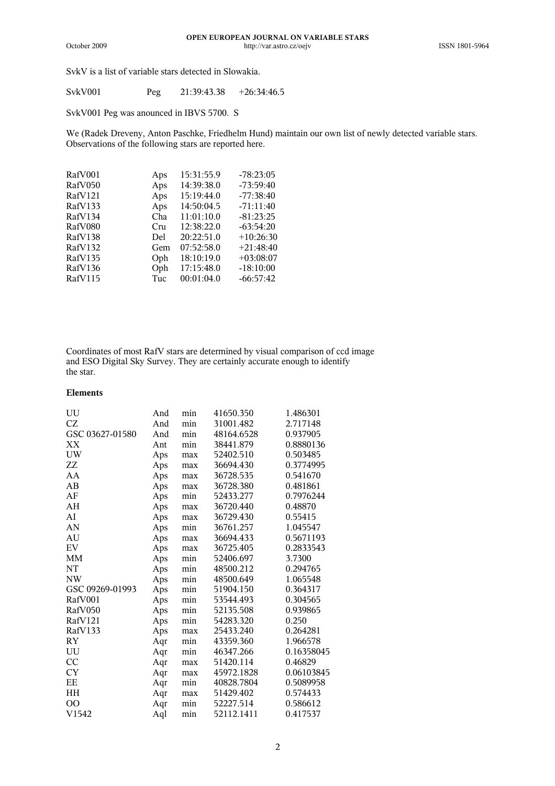SvkV is a list of variable stars detected in Slowakia.

| SvkV001 | Peg | 21:39:43.38 | $+26:34:46.5$ |
|---------|-----|-------------|---------------|
|---------|-----|-------------|---------------|

SvkV001 Peg was anounced in IBVS 5700. S

We (Radek Dreveny, Anton Paschke, Friedhelm Hund) maintain our own list of newly detected variable stars. Observations of the following stars are reported here.

| RafV001 | Aps | 15:31:55.9 | $-78:23:05$ |
|---------|-----|------------|-------------|
| RafV050 | Aps | 14:39:38.0 | $-73:59:40$ |
| RafV121 | Aps | 15:19:44.0 | $-77:38:40$ |
| RafV133 | Aps | 14:50:04.5 | $-71:11:40$ |
| RafV134 | Cha | 11:01:10.0 | $-81:23:25$ |
| RafV080 | Cru | 12:38:22.0 | $-63:54:20$ |
| RafV138 | Del | 20:22:51.0 | $+10:26:30$ |
| RafV132 | Gem | 07:52:58.0 | $+21:48:40$ |
| RafV135 | Oph | 18:10:19.0 | $+03:08:07$ |
| RafV136 | Oph | 17:15:48.0 | $-18:10:00$ |
| RafV115 | Tuc | 00:01:04.0 | $-66:57:42$ |
|         |     |            |             |

Coordinates of most RafV stars are determined by visual comparison of ccd image and ESO Digital Sky Survey. They are certainly accurate enough to identify the star.

#### **Elements**

| UU                                           | And | min | 41650.350  | 1.486301   |
|----------------------------------------------|-----|-----|------------|------------|
| CZ                                           | And | min | 31001.482  | 2.717148   |
| GSC 03627-01580                              | And | min | 48164.6528 | 0.937905   |
| XX                                           | Ant | min | 38441.879  | 0.8880136  |
| $\ensuremath{\text{U}}\ensuremath{\text{W}}$ | Aps | max | 52402.510  | 0.503485   |
| ZZ                                           | Aps | max | 36694.430  | 0.3774995  |
| AA                                           | Aps | max | 36728.535  | 0.541670   |
| AB                                           | Aps | max | 36728.380  | 0.481861   |
| AF                                           | Aps | min | 52433.277  | 0.7976244  |
| AH                                           | Aps | max | 36720.440  | 0.48870    |
| AI                                           | Aps | max | 36729.430  | 0.55415    |
| AN                                           | Aps | min | 36761.257  | 1.045547   |
| AU                                           | Aps | max | 36694.433  | 0.5671193  |
| ${\rm EV}$                                   | Aps | max | 36725.405  | 0.2833543  |
| MM                                           | Aps | min | 52406.697  | 3.7300     |
| NT                                           | Aps | min | 48500.212  | 0.294765   |
| NW                                           | Aps | min | 48500.649  | 1.065548   |
| GSC 09269-01993                              | Aps | min | 51904.150  | 0.364317   |
| RafV001                                      | Aps | min | 53544.493  | 0.304565   |
| RafV050                                      | Aps | min | 52135.508  | 0.939865   |
| RafV121                                      | Aps | min | 54283.320  | 0.250      |
| RafV133                                      | Aps | max | 25433.240  | 0.264281   |
| RY                                           | Aqr | min | 43359.360  | 1.966578   |
| UU                                           | Aqr | min | 46347.266  | 0.16358045 |
| CC                                           | Aqr | max | 51420.114  | 0.46829    |
| <b>CY</b>                                    | Aqr | max | 45972.1828 | 0.06103845 |
| $\rm EE$                                     | Aqr | min | 40828.7804 | 0.5089958  |
| ΗH                                           | Aqr | max | 51429.402  | 0.574433   |
| <sub>OO</sub>                                | Aqr | min | 52227.514  | 0.586612   |
| V1542                                        | Aql | min | 52112.1411 | 0.417537   |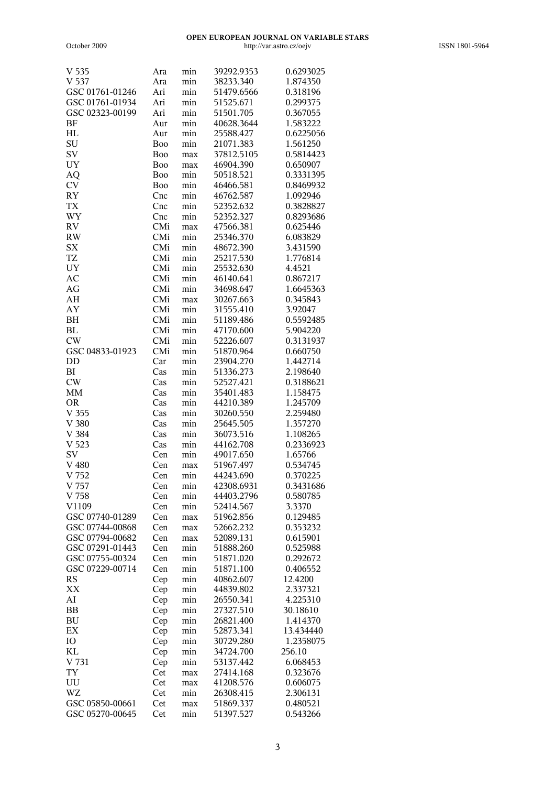| V 535            | Ara        | min | 39292.9353 | 0.6293025 |
|------------------|------------|-----|------------|-----------|
| V 537            | Ara        | min | 38233.340  | 1.874350  |
| GSC 01761-01246  | Ari        | min | 51479.6566 | 0.318196  |
| GSC 01761-01934  | Ari        | min | 51525.671  | 0.299375  |
| GSC 02323-00199  | Ari        | min | 51501.705  | 0.367055  |
| BF               | Aur        | min | 40628.3644 | 1.583222  |
| HL               | Aur        | min | 25588.427  | 0.6225056 |
| SU               | Boo        | min | 21071.383  | 1.561250  |
| SV               | Boo        | max | 37812.5105 | 0.5814423 |
| UY               | Boo        | max | 46904.390  | 0.650907  |
| AQ               | <b>Boo</b> | min | 50518.521  | 0.3331395 |
| <b>CV</b>        | Boo        | min | 46466.581  | 0.8469932 |
| RY               | Cnc        | min | 46762.587  | 1.092946  |
| <b>TX</b>        | Cnc        | min | 52352.632  | 0.3828827 |
| WY               | Cnc        | min | 52352.327  | 0.8293686 |
| ${\rm RV}$       | CMi        | max | 47566.381  | 0.625446  |
| RW               | CMi        | min | 25346.370  | 6.083829  |
| <b>SX</b>        | CMi        | min | 48672.390  | 3.431590  |
| <b>TZ</b>        | CMi        | min | 25217.530  | 1.776814  |
| UY               | CMi        | min | 25532.630  | 4.4521    |
| AC               | CMi        | min | 46140.641  | 0.867217  |
| AG               | CMi        | min | 34698.647  | 1.6645363 |
| AH               | CMi        | max | 30267.663  | 0.345843  |
| AY               | CMi        | min | 31555.410  | 3.92047   |
| BH               | CMi        | min | 51189.486  | 0.5592485 |
| BL               | CMi        | min | 47170.600  | 5.904220  |
| CW               | CMi        | min | 52226.607  | 0.3131937 |
| GSC 04833-01923  | CMi        | min | 51870.964  | 0.660750  |
| DD               | Car        | min | 23904.270  | 1.442714  |
| BI               | Cas        | min | 51336.273  | 2.198640  |
| CW               | Cas        | min | 52527.421  | 0.3188621 |
| MM               | Cas        | min | 35401.483  | 1.158475  |
| <b>OR</b>        | Cas        | min | 44210.389  | 1.245709  |
| V <sub>355</sub> | Cas        | min | 30260.550  | 2.259480  |
| V 380            | Cas        | min | 25645.505  | 1.357270  |
| V 384            | Cas        | min | 36073.516  | 1.108265  |
| V <sub>523</sub> | Cas        | min | 44162.708  | 0.2336923 |
| SV               | Cen        | min | 49017.650  | 1.65766   |
| $V$ 480          | Cen        | max | 51967.497  | 0.534745  |
| V 752            | Cen        | min | 44243.690  | 0.370225  |
| $V$ 757          | Cen        | min | 42308.6931 | 0.3431686 |
| V 758            | Cen        | min | 44403.2796 | 0.580785  |
| V1109            | Cen        | min | 52414.567  | 3.3370    |
| GSC 07740-01289  | Cen        | max | 51962.856  | 0.129485  |
| GSC 07744-00868  | Cen        | max | 52662.232  | 0.353232  |
| GSC 07794-00682  | Cen        | max | 52089.131  | 0.615901  |
| GSC 07291-01443  | Cen        | min | 51888.260  | 0.525988  |
| GSC 07755-00324  | Cen        | min | 51871.020  | 0.292672  |
| GSC 07229-00714  | Cen        | min | 51871.100  | 0.406552  |
| RS               | Cep        | min | 40862.607  | 12.4200   |
| XX               | Cep        | min | 44839.802  | 2.337321  |
| AI               | Cep        | min | 26550.341  | 4.225310  |
| BB               | Cep        | min | 27327.510  | 30.18610  |
| BU               | Cep        | min | 26821.400  | 1.414370  |
| EX               | Cep        | min | 52873.341  | 13.434440 |
| IO               | Cep        | min | 30729.280  | 1.2358075 |
| KL               | Cep        | min | 34724.700  | 256.10    |
| V 731            | Cep        | min | 53137.442  | 6.068453  |
| TY               | Cet        | max | 27414.168  | 0.323676  |
| UU               | Cet        | max | 41208.576  | 0.606075  |
| WZ               | Cet        | min | 26308.415  | 2.306131  |
| GSC 05850-00661  | Cet        | max | 51869.337  | 0.480521  |
| GSC 05270-00645  | Cet        | min | 51397.527  | 0.543266  |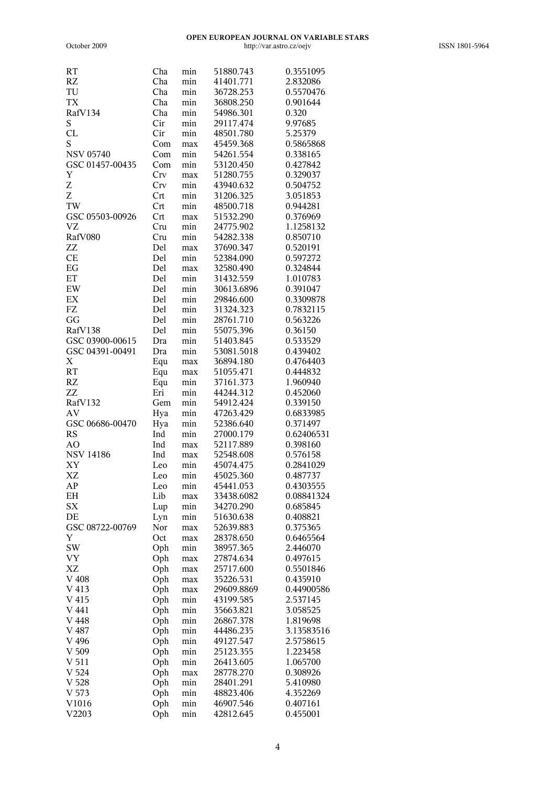October 2009

| <b>RT</b>              | Cha | min | 51880.743  | 0.3551095  |
|------------------------|-----|-----|------------|------------|
| RZ                     | Cha | min | 41401.771  | 2.832086   |
| TU                     | Cha | min | 36728.253  | 0.5570476  |
| TX                     | Cha | min | 36808.250  | 0.901644   |
| RafV134                | Cha | min | 54986.301  | 0.320      |
| S                      | Cir | min | 29117.474  | 9.97685    |
| CL                     | Cir | min | 48501.780  | 5.25379    |
| S                      | Com | max | 45459.368  | 0.5865868  |
| <b>NSV 05740</b>       | Com | min | 54261.554  | 0.338165   |
| GSC 01457-00435        | Com | min | 53120.450  | 0.427842   |
| Y                      | Crv | max | 51280.755  | 0.329037   |
| Ζ                      | Crv | min | 43940.632  | 0.504752   |
| Z                      | Crt | min | 31206.325  | 3.051853   |
| TW                     | Crt | min | 48500.718  | 0.944281   |
| GSC 05503-00926        | Crt | max | 51532.290  | 0.376969   |
| <b>VZ</b>              | Cru | min | 24775.902  | 1.1258132  |
| RafV080                | Cru | min | 54282.338  | 0.850710   |
| ZZ                     | Del | max | 37690.347  | 0.520191   |
| CE                     | Del | min | 52384.090  | 0.597272   |
| $\operatorname{EG}$    | Del | max | 32580.490  | 0.324844   |
| ET                     | Del | min | 31432.559  | 1.010783   |
| $\mathop{\rm EW}$      | Del | min | 30613.6896 | 0.391047   |
| EX                     | Del | min | 29846.600  | 0.3309878  |
| FZ                     | Del | min | 31324.323  | 0.7832115  |
| GG                     | Del | min | 28761.710  | 0.563226   |
| RafV138                | Del | min | 55075.396  | 0.36150    |
| GSC 03900-00615        | Dra | min | 51403.845  | 0.533529   |
| GSC 04391-00491        | Dra | min | 53081.5018 | 0.439402   |
| $\mathbf X$            | Equ | max | 36894.180  | 0.4764403  |
| <b>RT</b>              | Equ | max | 51055.471  | 0.444832   |
| RZ                     | Equ | min | 37161.373  | 1.960940   |
| ZZ                     | Eri | min | 44244.312  | 0.452060   |
| RafV132                | Gem | min | 54912.424  | 0.339150   |
| $\mathbf{A}\mathbf{V}$ | Hya | min | 47263.429  | 0.6833985  |
| GSC 06686-00470        | Hya | min | 52386.640  | 0.371497   |
| <b>RS</b>              | Ind | min | 27000.179  | 0.62406531 |
| AO                     | Ind | max | 52117.889  | 0.398160   |
| <b>NSV 14186</b>       | Ind | max | 52548.608  | 0.576158   |
| XY                     | Leo | min | 45074.475  | 0.2841029  |
| XZ                     | Leo | min | 45025.360  | 0.487737   |
| ${\bf AP}$             | Leo | min | 45441.053  | 0.4303555  |
| EН                     | Lib | max | 33438.6082 | 0.08841324 |
| <b>SX</b>              | Lup | min | 34270.290  | 0.685845   |
| DE                     | Lyn | min | 51630.638  | 0.408821   |
| GSC 08722-00769        | Nor | max | 52639.883  | 0.375365   |
| Y                      | Oct | max | 28378.650  | 0.6465564  |
| SW                     | Oph | min | 38957.365  | 2.446070   |
| VY                     | Oph | max | 27874.634  | 0.497615   |
| XZ                     | Oph | max | 25717.600  | 0.5501846  |
| V 408                  | Oph | max | 35226.531  | 0.435910   |
| V 413                  | Oph | max | 29609.8869 | 0.44900586 |
| V 415                  | Oph | min | 43199.585  | 2.537145   |
| V 441                  | Oph | min | 35663.821  | 3.058525   |
| $V$ 448                | Oph | min | 26867.378  | 1.819698   |
| V 487                  | Oph | min | 44486.235  | 3.13583516 |
| V 496                  | Oph | min | 49127.547  | 2.5758615  |
| V 509                  | Oph | min | 25123.355  | 1.223458   |
| V 511                  | Oph | min | 26413.605  | 1.065700   |
| V <sub>524</sub>       | Oph | max | 28778.270  | 0.308926   |
| V 528                  | Oph | min | 28401.291  | 5.410980   |
| V <sub>573</sub>       | Oph | min | 48823.406  | 4.352269   |
| V1016                  | Oph | min | 46907.546  | 0.407161   |
| V2203                  | Oph | min | 42812.645  | 0.455001   |
|                        |     |     |            |            |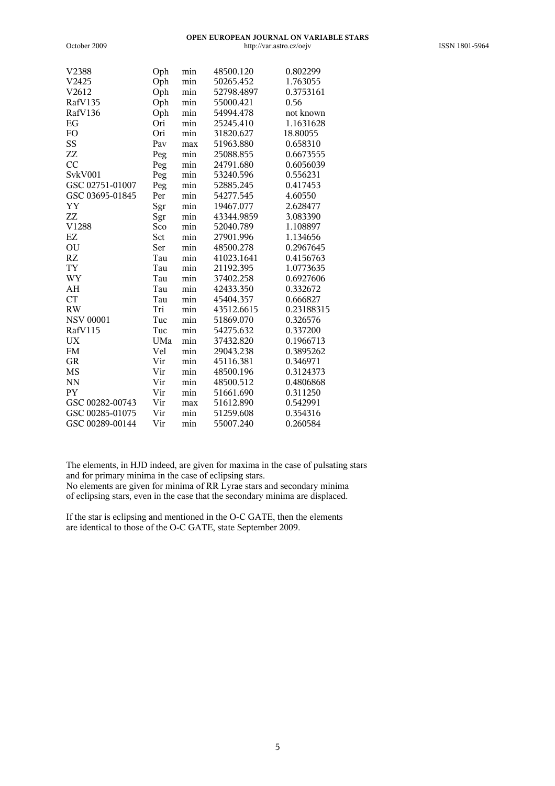| V2388                  | Oph | min | 48500.120  | 0.802299   |
|------------------------|-----|-----|------------|------------|
| V2425                  | Oph | min | 50265.452  | 1.763055   |
| V2612                  | Oph | min | 52798.4897 | 0.3753161  |
| RafV135                | Oph | min | 55000.421  | 0.56       |
| RafV136                | Oph | min | 54994.478  | not known  |
| EG                     | Ori | min | 25245.410  | 1.1631628  |
| FO                     | Ori | min | 31820.627  | 18.80055   |
| SS                     | Pav | max | 51963.880  | 0.658310   |
| ZZ                     | Peg | min | 25088.855  | 0.6673555  |
| CC                     | Peg | min | 24791.680  | 0.6056039  |
| SvkV001                | Peg | min | 53240.596  | 0.556231   |
| GSC 02751-01007        | Peg | min | 52885.245  | 0.417453   |
| GSC 03695-01845        | Per | min | 54277.545  | 4.60550    |
| YY                     | Sgr | min | 19467.077  | 2.628477   |
| ZZ                     | Sgr | min | 43344.9859 | 3.083390   |
| V1288                  | Sco | min | 52040.789  | 1.108897   |
| $\mathop{\rm EZ}$      | Sct | min | 27901.996  | 1.134656   |
| OU                     | Ser | min | 48500.278  | 0.2967645  |
| RZ                     | Tau | min | 41023.1641 | 0.4156763  |
| <b>TY</b>              | Tau | min | 21192.395  | 1.0773635  |
| WY                     | Tau | min | 37402.258  | 0.6927606  |
| AH                     | Tau | min | 42433.350  | 0.332672   |
| <b>CT</b>              | Tau | min | 45404.357  | 0.666827   |
| $\mathbf{R}\mathbf{W}$ | Tri | min | 43512.6615 | 0.23188315 |
| <b>NSV 00001</b>       | Tuc | min | 51869.070  | 0.326576   |
| RafV115                | Tuc | min | 54275.632  | 0.337200   |
| $\mathbf{U}\mathbf{X}$ | UMa | min | 37432.820  | 0.1966713  |
| ${\rm FM}$             | Vel | min | 29043.238  | 0.3895262  |
| <b>GR</b>              | Vir | min | 45116.381  | 0.346971   |
| <b>MS</b>              | Vir | min | 48500.196  | 0.3124373  |
| <b>NN</b>              | Vir | min | 48500.512  | 0.4806868  |
| PY                     | Vir | min | 51661.690  | 0.311250   |
| GSC 00282-00743        | Vir | max | 51612.890  | 0.542991   |
| GSC 00285-01075        | Vir | min | 51259.608  | 0.354316   |
| GSC 00289-00144        | Vir | min | 55007.240  | 0.260584   |

October 2009

The elements, in HJD indeed, are given for maxima in the case of pulsating stars and for primary minima in the case of eclipsing stars.

No elements are given for minima of RR Lyrae stars and secondary minima of eclipsing stars, even in the case that the secondary minima are displaced.

If the star is eclipsing and mentioned in the O-C GATE, then the elements are identical to those of the O-C GATE, state September 2009.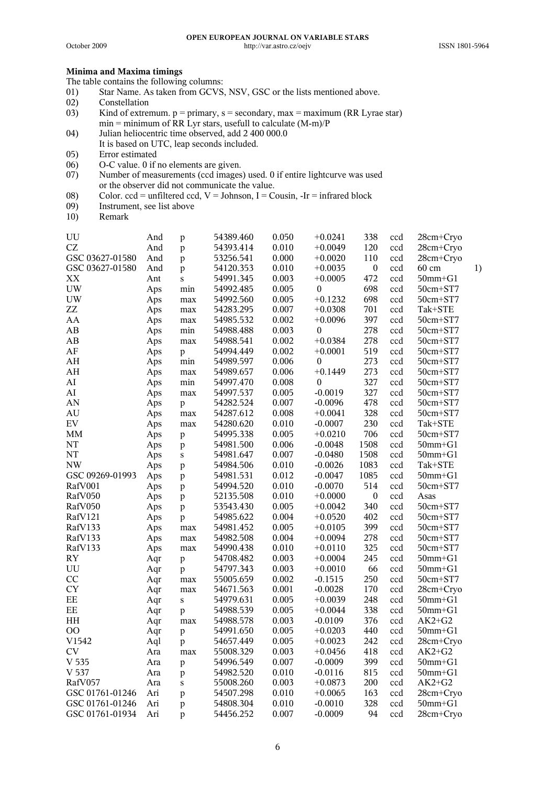### **Minima and Maxima timings**

The table contains the following columns:

- 01) Star Name. As taken from GCVS, NSV, GSC or the lists mentioned above.
- 02) Constellation
- 03) Kind of extremum.  $p = primary$ ,  $s = secondary$ ,  $max = maximum$  (RR Lyrae star)  $min = minimum of RR Lyr stars, useful to calculate (M-m)/P$
- 04) Julian heliocentric time observed, add 2 400 000.0
- It is based on UTC, leap seconds included.
- 05) Error estimated
- 06) O-C value. 0 if no elements are given.
- 07) Number of measurements (ccd images) used. 0 if entire lightcurve was used or the observer did not communicate the value.
- 08) Color. ccd = unfiltered ccd,  $V =$  Johnson,  $I =$  Cousin,  $-Ir =$  infrared block
- 09) Instrument, see list above
- 10) Remark

| UU                                           | And | $\mathbf{p}$ | 54389.460 | 0.050 | $+0.0241$        | 338              | ccd | 28cm+Cryo       |    |
|----------------------------------------------|-----|--------------|-----------|-------|------------------|------------------|-----|-----------------|----|
| $\operatorname{CZ}$                          | And | p            | 54393.414 | 0.010 | $+0.0049$        | 120              | ccd | $28cm + Cryo$   |    |
| GSC 03627-01580                              | And | $\mathbf{p}$ | 53256.541 | 0.000 | $+0.0020$        | 110              | ccd | 28cm+Cryo       |    |
| GSC 03627-01580                              | And | p            | 54120.353 | 0.010 | $+0.0035$        | $\boldsymbol{0}$ | ccd | $60 \text{ cm}$ | 1) |
| XX                                           | Ant | $\bf S$      | 54991.345 | 0.003 | $+0.0005$        | 472              | ccd | $50mm + G1$     |    |
| <b>UW</b>                                    | Aps | min          | 54992.485 | 0.005 | $\boldsymbol{0}$ | 698              | ccd | 50cm+ST7        |    |
| $\ensuremath{\text{U}}\ensuremath{\text{W}}$ | Aps | max          | 54992.560 | 0.005 | $+0.1232$        | 698              | ccd | $50cm + ST7$    |    |
| ZZ                                           | Aps | max          | 54283.295 | 0.007 | $+0.0308$        | 701              | ccd | Tak+STE         |    |
| AA                                           | Aps | max          | 54985.532 | 0.002 | $+0.0096$        | 397              | ccd | 50cm+ST7        |    |
| AB                                           | Aps | min          | 54988.488 | 0.003 | $\boldsymbol{0}$ | 278              | ccd | 50cm+ST7        |    |
| AB                                           | Aps | max          | 54988.541 | 0.002 | $+0.0384$        | 278              | ccd | 50cm+ST7        |    |
| AF                                           | Aps | $\mathbf{p}$ | 54994.449 | 0.002 | $+0.0001$        | 519              | ccd | 50cm+ST7        |    |
| AH                                           | Aps | min          | 54989.597 | 0.006 | $\theta$         | 273              | ccd | 50cm+ST7        |    |
| $\mathbf{A}\mathbf{H}$                       | Aps | max          | 54989.657 | 0.006 | $+0.1449$        | 273              | ccd | 50cm+ST7        |    |
| AI                                           | Aps | min          | 54997.470 | 0.008 | $\boldsymbol{0}$ | 327              | ccd | 50cm+ST7        |    |
| ${\rm AI}$                                   | Aps | max          | 54997.537 | 0.005 | $-0.0019$        | 327              | ccd | 50cm+ST7        |    |
| AN                                           | Aps | p            | 54282.524 | 0.007 | $-0.0096$        | 478              | ccd | $50cm + ST7$    |    |
| AU                                           | Aps | max          | 54287.612 | 0.008 | $+0.0041$        | 328              | ccd | 50cm+ST7        |    |
| ${\rm EV}$                                   | Aps | max          | 54280.620 | 0.010 | $-0.0007$        | 230              | ccd | Tak+STE         |    |
| MM                                           | Aps | $\mathbf{p}$ | 54995.338 | 0.005 | $+0.0210$        | 706              | ccd | 50cm+ST7        |    |
| NT                                           | Aps | $\mathbf{p}$ | 54981.500 | 0.006 | $-0.0048$        | 1508             | ccd | $50mm + G1$     |    |
| NT                                           | Aps | ${\bf S}$    | 54981.647 | 0.007 | $-0.0480$        | 1508             | ccd | $50$ mm $+G1$   |    |
| NW                                           | Aps | $\mathbf{p}$ | 54984.506 | 0.010 | $-0.0026$        | 1083             | ccd | Tak+STE         |    |
| GSC 09269-01993                              | Aps | $\mathbf{p}$ | 54981.531 | 0.012 | $-0.0047$        | 1085             | ccd | $50mm + G1$     |    |
| RafV001                                      | Aps | $\mathbf{p}$ | 54994.520 | 0.010 | $-0.0070$        | 514              | ccd | $50cm + ST7$    |    |
| RafV050                                      | Aps | $\mathbf{p}$ | 52135.508 | 0.010 | $+0.0000$        | $\boldsymbol{0}$ | ccd | Asas            |    |
| RafV050                                      | Aps | $\mathbf{p}$ | 53543.430 | 0.005 | $+0.0042$        | 340              | ccd | 50cm+ST7        |    |
| RafV121                                      | Aps | $\mathbf{p}$ | 54985.622 | 0.004 | $+0.0520$        | 402              | ccd | 50cm+ST7        |    |
| RafV133                                      | Aps | $\max$       | 54981.452 | 0.005 | $+0.0105$        | 399              | ccd | 50cm+ST7        |    |
| RafV133                                      | Aps | max          | 54982.508 | 0.004 | $+0.0094$        | 278              | ccd | 50cm+ST7        |    |
| RafV133                                      | Aps | max          | 54990.438 | 0.010 | $+0.0110$        | 325              | ccd | 50cm+ST7        |    |
| RY                                           | Aqr | p            | 54708.482 | 0.003 | $+0.0004$        | 245              | ccd | $50$ mm $+G1$   |    |
| UU                                           | Aqr | $\mathbf{p}$ | 54797.343 | 0.003 | $+0.0010$        | 66               | ccd | $50$ mm $+G1$   |    |
| CC                                           | Aqr | max          | 55005.659 | 0.002 | $-0.1515$        | 250              | ccd | 50cm+ST7        |    |
| <b>CY</b>                                    | Aqr | max          | 54671.563 | 0.001 | $-0.0028$        | 170              | ccd | 28cm+Cryo       |    |
| $\rm EE$                                     | Aqr | $\mathbf S$  | 54979.631 | 0.005 | $+0.0039$        | 248              | ccd | $50mm + G1$     |    |
| $\rm EE$                                     | Aqr | $\mathbf{p}$ | 54988.539 | 0.005 | $+0.0044$        | 338              | ccd | $50$ mm $+G1$   |    |
| ΗH                                           | Aqr | max          | 54988.578 | 0.003 | $-0.0109$        | 376              | ccd | $AK2+G2$        |    |
| 00                                           | Aqr | $\mathbf{p}$ | 54991.650 | 0.005 | $+0.0203$        | 440              | ccd | $50$ mm $+G1$   |    |
| V1542                                        | Aql | $\mathbf{p}$ | 54657.449 | 0.005 | $+0.0023$        | 242              | ccd | 28cm+Cryo       |    |
| <b>CV</b>                                    | Ara | max          | 55008.329 | 0.003 | $+0.0456$        | 418              | ccd | $AK2+G2$        |    |
| V <sub>535</sub>                             | Ara | $\mathbf{p}$ | 54996.549 | 0.007 | $-0.0009$        | 399              | ccd | $50$ mm $+G1$   |    |
| V 537                                        | Ara | $\mathbf{p}$ | 54982.520 | 0.010 | $-0.0116$        | 815              | ccd | $50$ mm $+G1$   |    |
| RafV057                                      | Ara | ${\bf S}$    | 55008.260 | 0.003 | $+0.0873$        | 200              | ccd | $AK2+G2$        |    |
| GSC 01761-01246                              | Ari | $\mathbf{p}$ | 54507.298 | 0.010 | $+0.0065$        | 163              | ccd | 28cm+Cryo       |    |
| GSC 01761-01246                              | Ari | p            | 54808.304 | 0.010 | $-0.0010$        | 328              | ccd | $50$ mm $+G1$   |    |
| GSC 01761-01934                              | Ari | p            | 54456.252 | 0.007 | $-0.0009$        | 94               | ccd | 28cm+Cryo       |    |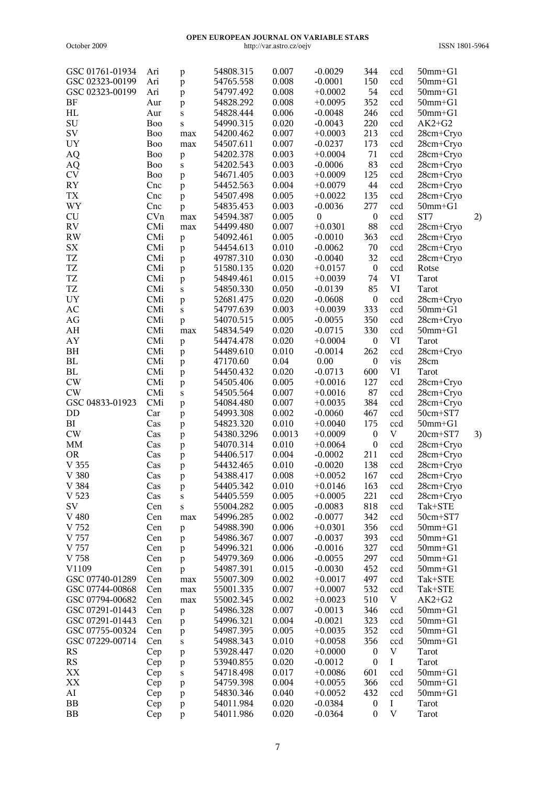| GSC 01761-01934 | Ari             | p            | 54808.315  | 0.007  | $-0.0029$ | 344              | ccd                       | $50$ mm $+G1$ |    |
|-----------------|-----------------|--------------|------------|--------|-----------|------------------|---------------------------|---------------|----|
| GSC 02323-00199 | Ari             | $\mathbf{p}$ | 54765.558  | 0.008  | $-0.0001$ | 150              | ccd                       | $50$ mm $+G1$ |    |
| GSC 02323-00199 | Ari             | $\mathbf{p}$ | 54797.492  | 0.008  | $+0.0002$ | 54               | ccd                       | $50mm + G1$   |    |
| BF              | Aur             | p            | 54828.292  | 0.008  | $+0.0095$ | 352              | ccd                       | $50$ mm $+G1$ |    |
| HL              | Aur             | ${\bf S}$    | 54828.444  | 0.006  | $-0.0048$ | 246              | ccd                       | $50$ mm $+G1$ |    |
| SU              | B <sub>oo</sub> | S            | 54990.315  | 0.020  | $-0.0043$ | 220              | ccd                       | $AK2+G2$      |    |
| SV              | B <sub>oo</sub> | max          | 54200.462  | 0.007  | $+0.0003$ | 213              | ccd                       | 28cm+Cryo     |    |
| UY              | Boo             | max          | 54507.611  | 0.007  | $-0.0237$ | 173              | ccd                       | 28cm+Cryo     |    |
| AQ              | Boo             | $\mathbf{p}$ | 54202.378  | 0.003  | $+0.0004$ | 71               | ccd                       | 28cm+Cryo     |    |
| AQ              | B <sub>oo</sub> | ${\bf S}$    | 54202.543  | 0.003  | $-0.0006$ | 83               | ccd                       | 28cm+Cryo     |    |
| <b>CV</b>       | <b>Boo</b>      | $\mathbf{p}$ | 54671.405  | 0.003  | $+0.0009$ | 125              | ccd                       | 28cm+Cryo     |    |
| <b>RY</b>       | Cnc             | p            | 54452.563  | 0.004  | $+0.0079$ | 44               | ccd                       | 28cm+Cryo     |    |
| <b>TX</b>       | Cnc             | $\mathbf{p}$ | 54507.498  | 0.005  | $+0.0022$ | 135              | ccd                       | 28cm+Cryo     |    |
| WY              | Cnc             | p            | 54835.453  | 0.003  | $-0.0036$ | 277              | ccd                       | $50$ mm $+G1$ |    |
| CU              | CVn             | max          | 54594.387  | 0.005  | $\theta$  | $\boldsymbol{0}$ | ccd                       | ST7           | 2) |
| <b>RV</b>       | CMi             | max          | 54499.480  | 0.007  | $+0.0301$ | 88               | ccd                       | 28cm+Cryo     |    |
| <b>RW</b>       | CMi             | p            | 54092.461  | 0.005  | $-0.0010$ | 363              | ccd                       | 28cm+Cryo     |    |
| <b>SX</b>       | CMi             | p            | 54454.613  | 0.010  | $-0.0062$ | 70               | ccd                       | 28cm+Cryo     |    |
| TZ              | CMi             | p            | 49787.310  | 0.030  | $-0.0040$ | 32               | ccd                       | 28cm+Cryo     |    |
| TZ              | CMi             | p            | 51580.135  | 0.020  | $+0.0157$ | $\boldsymbol{0}$ | ccd                       | Rotse         |    |
| <b>TZ</b>       | CMi             | p            | 54849.461  | 0.015  | $+0.0039$ | 74               | VI                        | Tarot         |    |
| <b>TZ</b>       | CMi             | ${\bf S}$    | 54850.330  | 0.050  | $-0.0139$ | 85               | VI                        | Tarot         |    |
| <b>UY</b>       | CMi             | $\mathbf{p}$ | 52681.475  | 0.020  | $-0.0608$ | $\boldsymbol{0}$ | ccd                       | 28cm+Cryo     |    |
| AC              | CMi             | $\mathbf S$  | 54797.639  | 0.003  | $+0.0039$ | 333              | ccd                       | $50mm + G1$   |    |
| AG              | CMi             | $\mathbf{p}$ | 54070.515  | 0.005  | $-0.0055$ | 350              | ccd                       | 28cm+Cryo     |    |
| AH              | CMi             | max          | 54834.549  | 0.020  | $-0.0715$ | 330              | ccd                       | $50$ mm $+G1$ |    |
| AY              | CMi             | $\mathbf{p}$ | 54474.478  | 0.020  | $+0.0004$ | $\boldsymbol{0}$ | VI                        | Tarot         |    |
| BH              | CMi             | $\mathbf{p}$ | 54489.610  | 0.010  | $-0.0014$ | 262              | ccd                       | 28cm+Cryo     |    |
| ${\bf BL}$      | CMi             | $\mathbf{p}$ | 47170.60   | 0.04   | 0.00      | $\boldsymbol{0}$ | vis                       | 28cm          |    |
| <b>BL</b>       | CMi             | $\mathbf{p}$ | 54450.432  | 0.020  | $-0.0713$ | 600              | VI                        | Tarot         |    |
| CW              | CMi             | p            | 54505.406  | 0.005  | $+0.0016$ | 127              | ccd                       | 28cm+Cryo     |    |
| <b>CW</b>       | CMi             | ${\bf S}$    | 54505.564  | 0.007  | $+0.0016$ | 87               | ccd                       | 28cm+Cryo     |    |
| GSC 04833-01923 | CMi             | $\mathbf{p}$ | 54084.480  | 0.007  | $+0.0035$ | 384              | ccd                       | 28cm+Cryo     |    |
| DD              | Car             | $\mathbf{p}$ | 54993.308  | 0.002  | $-0.0060$ | 467              | ccd                       | 50cm+ST7      |    |
| BI              | Cas             | $\mathbf{p}$ | 54823.320  | 0.010  | $+0.0040$ | 175              | ccd                       | $50$ mm $+G1$ |    |
| $\mathrm{CW}$   | Cas             | $\mathbf{p}$ | 54380.3296 | 0.0013 | $+0.0009$ | $\boldsymbol{0}$ | $\boldsymbol{\mathrm{V}}$ | 20cm+ST7      | 3) |
| MM              | Cas             | $\mathbf{p}$ | 54070.314  | 0.010  | $+0.0064$ | $\boldsymbol{0}$ | ccd                       | 28cm+Cryo     |    |
| <b>OR</b>       | Cas             | p            | 54406.517  | 0.004  | $-0.0002$ | 211              | ccd                       | 28cm+Cryo     |    |
| V 355           | Cas             | p            | 54432.465  | 0.010  | $-0.0020$ | 138              | ccd                       | 28cm+Cryo     |    |
| V 380           | Cas             | $\mathbf{p}$ | 54388.417  | 0.008  | $+0.0052$ | 167              | ccd                       | 28cm+Cryo     |    |
| V 384           | Cas             | P            | 54405.342  | 0.010  | $+0.0146$ | 163              | ccd                       | 28cm+Cryo     |    |
| V 523           | Cas             | $\mathbf S$  | 54405.559  | 0.005  | $+0.0005$ | 221              | ccd                       | 28cm+Cryo     |    |
| SV              | Cen             | $\bf S$      | 55004.282  | 0.005  | $-0.0083$ | 818              | ccd                       | Tak+STE       |    |
| V 480           | Cen             | max          | 54996.285  | 0.002  | $-0.0077$ | 342              | ccd                       | 50cm+ST7      |    |
| V 752           | Cen             | p            | 54988.390  | 0.006  | $+0.0301$ | 356              | ccd                       | $50$ mm $+G1$ |    |
| V 757           | Cen             | p            | 54986.367  | 0.007  | $-0.0037$ | 393              | ccd                       | $50$ mm $+G1$ |    |
| V 757           | Cen             | p            | 54996.321  | 0.006  | $-0.0016$ | 327              | ccd                       | $50$ mm $+G1$ |    |
| V 758           | Cen             | p            | 54979.369  | 0.006  | $-0.0055$ | 297              | ccd                       | $50$ mm $+G1$ |    |
| V1109           | Cen             | $\mathbf{p}$ | 54987.391  | 0.015  | $-0.0030$ | 452              | ccd                       | $50$ mm $+G1$ |    |
| GSC 07740-01289 | Cen             | max          | 55007.309  | 0.002  | $+0.0017$ | 497              | ccd                       | Tak+STE       |    |
| GSC 07744-00868 | Cen             | max          | 55001.335  | 0.007  | $+0.0007$ | 532              | ccd                       | Tak+STE       |    |
| GSC 07794-00682 | Cen             | max          | 55002.345  | 0.002  | $+0.0023$ | 510              | V                         | $AK2+G2$      |    |
| GSC 07291-01443 | Cen             | p            | 54986.328  | 0.007  | $-0.0013$ | 346              | ccd                       | $50$ mm $+G1$ |    |
| GSC 07291-01443 | Cen             | p            | 54996.321  | 0.004  | $-0.0021$ | 323              | ccd                       | $50$ mm $+G1$ |    |
| GSC 07755-00324 | Cen             | p            | 54987.395  | 0.005  | $+0.0035$ | 352              | ccd                       | $50$ mm $+G1$ |    |
| GSC 07229-00714 | Cen             | $\bf S$      | 54988.343  | 0.010  | $+0.0058$ | 356              | ccd                       | $50$ mm $+G1$ |    |
| RS              | Cep             | $\mathbf{p}$ | 53928.447  | 0.020  | $+0.0000$ | $\boldsymbol{0}$ | $\boldsymbol{\mathrm{V}}$ | Tarot         |    |
| RS              | Cep             | p            | 53940.855  | 0.020  | $-0.0012$ | $\boldsymbol{0}$ | Ι                         | Tarot         |    |
| $\mathbf{XX}$   | Cep             | $\mathbf S$  | 54718.498  | 0.017  | $+0.0086$ | 601              | ccd                       | $50$ mm $+G1$ |    |
| $\mathbf{XX}$   | Cep             | $\mathbf{p}$ | 54759.398  | 0.004  | $+0.0055$ | 366              | ccd                       | $50mm + G1$   |    |
| AI              | Cep             | p            | 54830.346  | 0.040  | $+0.0052$ | 432              | ccd                       | $50$ mm $+G1$ |    |
| BB              | Cep             | $\, {\bf p}$ | 54011.984  | 0.020  | $-0.0384$ | $\boldsymbol{0}$ | $\mathbf I$               | Tarot         |    |
| BB              | Cep             | p            | 54011.986  | 0.020  | $-0.0364$ | $\boldsymbol{0}$ | V                         | Tarot         |    |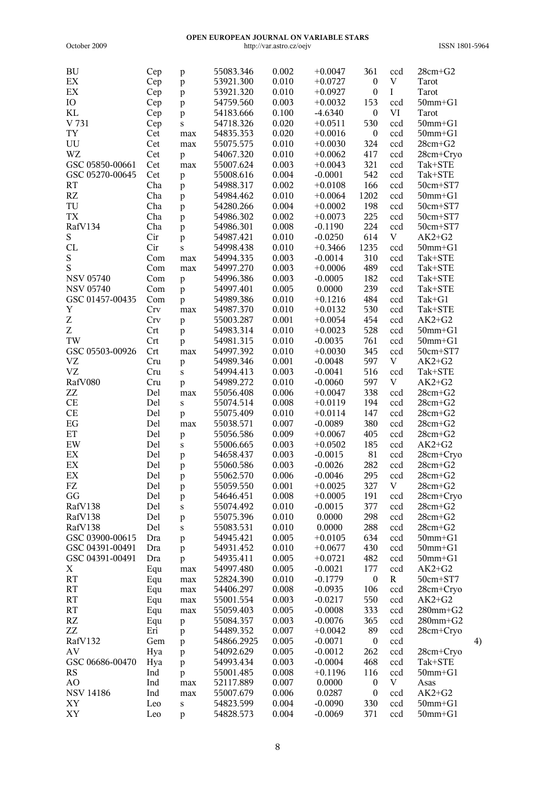| ${\rm BU}$                 | Cep | p            | 55083.346  | 0.002 | $+0.0047$ | 361              | ccd         | $28cm + G2$    |                   |
|----------------------------|-----|--------------|------------|-------|-----------|------------------|-------------|----------------|-------------------|
| $\mathop{\rm EX}\nolimits$ | Cep | $\mathbf{p}$ | 53921.300  | 0.010 | $+0.0727$ | $\boldsymbol{0}$ | $\mathbf V$ | Tarot          |                   |
| $\mathop{\rm EX}\nolimits$ | Cep | $\mathbf{p}$ | 53921.320  | 0.010 | $+0.0927$ | $\boldsymbol{0}$ | $\rm I$     | Tarot          |                   |
| IO                         | Cep | $\mathbf{p}$ | 54759.560  | 0.003 | $+0.0032$ | 153              | ccd         | $50$ mm $+G1$  |                   |
| KL                         |     |              | 54183.666  | 0.100 | $-4.6340$ | $\boldsymbol{0}$ | VI          | Tarot          |                   |
|                            | Cep | $\mathbf{p}$ |            |       |           |                  |             |                |                   |
| V 731                      | Cep | S            | 54718.326  | 0.020 | $+0.0511$ | 530              | ccd         | $50$ mm $+G1$  |                   |
| <b>TY</b>                  | Cet | max          | 54835.353  | 0.020 | $+0.0016$ | $\boldsymbol{0}$ | ccd         | $50$ mm $+G1$  |                   |
| UU                         | Cet | max          | 55075.575  | 0.010 | $+0.0030$ | 324              | ccd         | $28cm + G2$    |                   |
| WZ                         | Cet | $\mathbf{p}$ | 54067.320  | 0.010 | $+0.0062$ | 417              | ccd         | 28cm+Cryo      |                   |
| GSC 05850-00661            | Cet | max          | 55007.624  | 0.003 | $+0.0043$ | 321              | ccd         | Tak+STE        |                   |
| GSC 05270-00645            | Cet | $\mathbf{p}$ | 55008.616  | 0.004 | $-0.0001$ | 542              | ccd         | Tak+STE        |                   |
| <b>RT</b>                  | Cha |              | 54988.317  | 0.002 | $+0.0108$ | 166              |             | 50cm+ST7       |                   |
|                            |     | $\mathbf{p}$ |            |       |           |                  | ccd         |                |                   |
| RZ                         | Cha | $\mathbf{p}$ | 54984.462  | 0.010 | $+0.0064$ | 1202             | ccd         | $50$ mm $+G1$  |                   |
| TU                         | Cha | $\mathbf{p}$ | 54280.266  | 0.004 | $+0.0002$ | 198              | ccd         | 50cm+ST7       |                   |
| TX                         | Cha | $\mathbf{p}$ | 54986.302  | 0.002 | $+0.0073$ | 225              | ccd         | 50cm+ST7       |                   |
| RafV134                    | Cha | $\mathbf{p}$ | 54986.301  | 0.008 | $-0.1190$ | 224              | ccd         | 50cm+ST7       |                   |
| S                          | Cir | $\mathbf{p}$ | 54987.421  | 0.010 | $-0.0250$ | 614              | V           | $AK2+G2$       |                   |
| CL                         | Cir | $\mathbf S$  | 54998.438  | 0.010 | $+0.3466$ | 1235             | ccd         | $50mm + G1$    |                   |
| $\mathbf S$                | Com | max          | 54994.335  | 0.003 | $-0.0014$ | 310              | ccd         | Tak+STE        |                   |
| S                          | Com |              | 54997.270  | 0.003 | $+0.0006$ | 489              | ccd         | Tak+STE        |                   |
|                            |     | $\max$       |            |       |           |                  |             |                |                   |
| <b>NSV 05740</b>           | Com | $\mathbf{p}$ | 54996.386  | 0.003 | $-0.0005$ | 182              | ccd         | Tak+STE        |                   |
| <b>NSV 05740</b>           | Com | $\mathbf{p}$ | 54997.401  | 0.005 | 0.0000    | 239              | ccd         | Tak+STE        |                   |
| GSC 01457-00435            | Com | $\mathbf{p}$ | 54989.386  | 0.010 | $+0.1216$ | 484              | ccd         | Tak+G1         |                   |
| $\mathbf Y$                | Crv | max          | 54987.370  | 0.010 | $+0.0132$ | 530              | ccd         | Tak+STE        |                   |
| Z                          | Crv | $\mathbf{p}$ | 55003.287  | 0.001 | $+0.0054$ | 454              | ccd         | $AK2+G2$       |                   |
| $\ensuremath{\mathbf{Z}}$  | Crt | $\mathbf{p}$ | 54983.314  | 0.010 | $+0.0023$ | 528              | ccd         | $50$ mm $+G1$  |                   |
| TW                         | Crt |              | 54981.315  | 0.010 | $-0.0035$ | 761              | ccd         | $50$ mm $+G1$  |                   |
| GSC 05503-00926            | Crt | $\mathbf{p}$ |            |       |           | 345              |             |                |                   |
|                            |     | max          | 54997.392  | 0.010 | $+0.0030$ |                  | ccd         | 50cm+ST7       |                   |
| <b>VZ</b>                  | Cru | $\mathbf{p}$ | 54989.346  | 0.001 | $-0.0048$ | 597              | $\mathbf V$ | $AK2+G2$       |                   |
| <b>VZ</b>                  | Cru | S            | 54994.413  | 0.003 | $-0.0041$ | 516              | ccd         | Tak+STE        |                   |
| RafV080                    | Cru | $\mathbf{p}$ | 54989.272  | 0.010 | $-0.0060$ | 597              | V           | $AK2+G2$       |                   |
| ${\sf ZZ}$                 | Del | max          | 55056.408  | 0.006 | $+0.0047$ | 338              | ccd         | $28cm + G2$    |                   |
| CE                         | Del | S            | 55074.514  | 0.008 | $+0.0119$ | 194              | ccd         | $28cm + G2$    |                   |
| CE                         | Del | p            | 55075.409  | 0.010 | $+0.0114$ | 147              | ccd         | $28cm + G2$    |                   |
| $\operatorname{EG}$        | Del | max          | 55038.571  | 0.007 | $-0.0089$ | 380              | ccd         | $28cm + G2$    |                   |
| $\mathop{\rm ET}\nolimits$ |     |              |            |       |           | 405              |             |                |                   |
|                            | Del | $\, {\bf p}$ | 55056.586  | 0.009 | $+0.0067$ |                  | ccd         | $28cm + G2$    |                   |
| EW                         | Del | $\mathbf S$  | 55006.665  | 0.003 | $+0.0502$ | 185              | ccd         | $AK2+G2$       |                   |
| EX                         | Del | $\mathbf{p}$ | 54658.437  | 0.003 | $-0.0015$ | 81               | ccd         | 28cm+Cryo      |                   |
| $\mathop{\rm EX}\nolimits$ | Del | p            | 55060.586  | 0.003 | $-0.0026$ | 282              | ccd         | $28cm + G2$    |                   |
| $\mathop{\rm EX}\nolimits$ | Del | $\mathbf{p}$ | 55062.570  | 0.006 | $-0.0046$ | 295              | ccd         | $28cm + G2$    |                   |
| FZ                         | Del | p            | 55059.550  | 0.001 | $+0.0025$ | 327              | V           | $28cm + G2$    |                   |
| GG                         | Del | p            | 54646.451  | 0.008 | $+0.0005$ | 191              | ccd         | 28cm+Cryo      |                   |
| RafV138                    | Del | S            | 55074.492  | 0.010 | $-0.0015$ | 377              | ccd         | $28cm + G2$    |                   |
| RafV138                    |     |              |            | 0.010 | 0.0000    | 298              |             |                |                   |
|                            | Del | p            | 55075.396  |       |           |                  | ccd         | $28cm + G2$    |                   |
| RafV138                    | Del | S            | 55083.531  | 0.010 | 0.0000    | 288              | ccd         | $28cm + G2$    |                   |
| GSC 03900-00615            | Dra | p            | 54945.421  | 0.005 | $+0.0105$ | 634              | ccd         | $50$ mm $+G1$  |                   |
| GSC 04391-00491            | Dra | p            | 54931.452  | 0.010 | $+0.0677$ | 430              | ccd         | $50$ mm $+G1$  |                   |
| GSC 04391-00491            | Dra | p            | 54935.411  | 0.005 | $+0.0721$ | 482              | ccd         | $50$ mm $+G1$  |                   |
| X                          | Equ | max          | 54997.480  | 0.005 | $-0.0021$ | 177              | ccd         | $AK2+G2$       |                   |
| <b>RT</b>                  | Equ | max          | 52824.390  | 0.010 | $-0.1779$ | $\boldsymbol{0}$ | $\mathbf R$ | 50cm+ST7       |                   |
| RT                         | Equ | max          | 54406.297  | 0.008 | $-0.0935$ | 106              | ccd         | 28cm+Cryo      |                   |
| <b>RT</b>                  |     |              | 55001.554  | 0.003 | $-0.0217$ | 550              | ccd         | $AK2+G2$       |                   |
|                            | Equ | max          |            |       |           |                  |             |                |                   |
| RT                         | Equ | max          | 55059.403  | 0.005 | $-0.0008$ | 333              | ccd         | $280$ mm $+G2$ |                   |
| RZ                         | Equ | p            | 55084.357  | 0.003 | $-0.0076$ | 365              | ccd         | $280$ mm $+G2$ |                   |
| ZZ                         | Eri | p            | 54489.352  | 0.007 | $+0.0042$ | 89               | ccd         | 28cm+Cryo      |                   |
| RafV132                    | Gem | p            | 54866.2925 | 0.005 | $-0.0071$ | $\boldsymbol{0}$ | ccd         |                | $\left( 4\right)$ |
| AV                         | Hya | $\mathbf{p}$ | 54092.629  | 0.005 | $-0.0012$ | 262              | ccd         | 28cm+Cryo      |                   |
| GSC 06686-00470            | Hya | p            | 54993.434  | 0.003 | $-0.0004$ | 468              | ccd         | Tak+STE        |                   |
| RS                         | Ind |              | 55001.485  | 0.008 | $+0.1196$ | 116              | ccd         | $50$ mm $+G1$  |                   |
|                            |     | p            |            |       |           |                  |             |                |                   |
| AO                         | Ind | max          | 52117.889  | 0.007 | 0.0000    | $\boldsymbol{0}$ | V           | Asas           |                   |
| <b>NSV 14186</b>           | Ind | max          | 55007.679  | 0.006 | 0.0287    | $\boldsymbol{0}$ | ccd         | $AK2+G2$       |                   |
| XY                         | Leo | $\bf S$      | 54823.599  | 0.004 | $-0.0090$ | 330              | ccd         | $50mm+G1$      |                   |
| XY                         | Leo | p            | 54828.573  | 0.004 | $-0.0069$ | 371              | ccd         | $50$ mm $+G1$  |                   |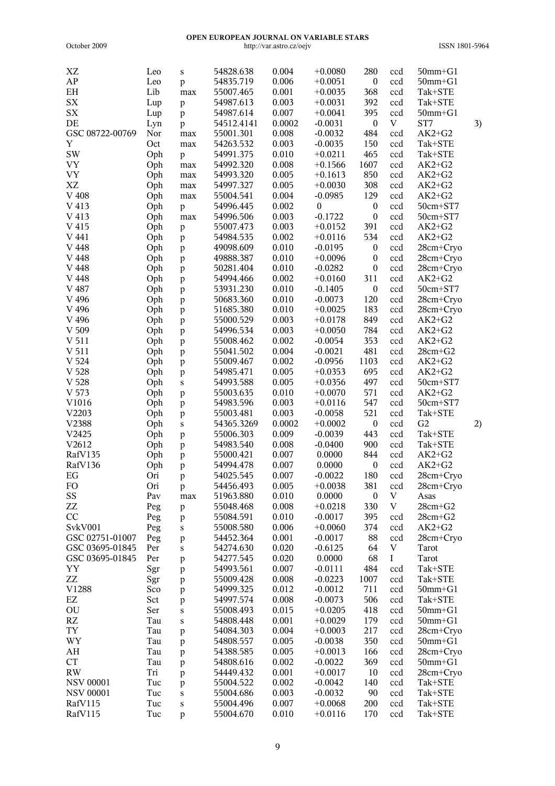| XZ               | Leo | S            | 54828.638  | 0.004  | $+0.0080$        | 280              | ccd                       | $50$ mm $+G1$  |    |
|------------------|-----|--------------|------------|--------|------------------|------------------|---------------------------|----------------|----|
| ${\sf AP}$       | Leo | p            | 54835.719  | 0.006  | $+0.0051$        | $\boldsymbol{0}$ | ccd                       | $50$ mm $+G1$  |    |
| EH               | Lib | max          | 55007.465  | 0.001  | $+0.0035$        | 368              | ccd                       | Tak+STE        |    |
| <b>SX</b>        | Lup | $\mathbf{p}$ | 54987.613  | 0.003  | $+0.0031$        | 392              | ccd                       | Tak+STE        |    |
| ${\rm SX}$       | Lup | p            | 54987.614  | 0.007  | $+0.0041$        | 395              | ccd                       | $50$ mm $+G1$  |    |
| DE               | Lyn | p            | 54512.4141 | 0.0002 | $-0.0031$        | $\boldsymbol{0}$ | V                         | ST7            | 3) |
| GSC 08722-00769  | Nor | $\max$       | 55001.301  | 0.008  | $-0.0032$        | 484              | ccd                       | $AK2+G2$       |    |
| Y                | Oct | $\max$       | 54263.532  | 0.003  | $-0.0035$        | 150              | ccd                       | Tak+STE        |    |
| <b>SW</b>        | Oph | p            | 54991.375  | 0.010  | $+0.0211$        | 465              | ccd                       | Tak+STE        |    |
| <b>VY</b>        | Oph | $\max$       | 54992.320  | 0.008  | $+0.1566$        | 1607             | ccd                       | $AK2+G2$       |    |
| <b>VY</b>        | Oph | max          | 54993.320  | 0.005  | $+0.1613$        | 850              | ccd                       | $AK2+G2$       |    |
| XZ               | Oph |              | 54997.327  | 0.005  | $+0.0030$        | 308              | ccd                       | $AK2+G2$       |    |
|                  |     | $\max$       |            |        |                  | 129              |                           |                |    |
| $\rm V$ 408      | Oph | $\max$       | 55004.541  | 0.004  | $-0.0985$        |                  | ccd                       | $AK2+G2$       |    |
| V 413            | Oph | p            | 54996.445  | 0.002  | $\boldsymbol{0}$ | $\boldsymbol{0}$ | ccd                       | 50cm+ST7       |    |
| V 413            | Oph | $\max$       | 54996.506  | 0.003  | $-0.1722$        | $\boldsymbol{0}$ | ccd                       | 50cm+ST7       |    |
| V 415            | Oph | $\mathbf{p}$ | 55007.473  | 0.003  | $+0.0152$        | 391              | ccd                       | $AK2+G2$       |    |
| V 441            | Oph | p            | 54984.535  | 0.002  | $+0.0116$        | 534              | ccd                       | $AK2+G2$       |    |
| V 448            | Oph | $\mathbf{p}$ | 49098.609  | 0.010  | $-0.0195$        | $\boldsymbol{0}$ | ccd                       | 28cm+Cryo      |    |
| V 448            | Oph | $\mathbf{p}$ | 49888.387  | 0.010  | $+0.0096$        | $\boldsymbol{0}$ | ccd                       | 28cm+Cryo      |    |
| V 448            | Oph | $\mathbf{p}$ | 50281.404  | 0.010  | $-0.0282$        | $\boldsymbol{0}$ | ccd                       | 28cm+Cryo      |    |
| V 448            | Oph | $\mathbf{p}$ | 54994.466  | 0.002  | $+0.0160$        | 311              | ccd                       | $AK2+G2$       |    |
| V 487            | Oph | $\mathbf{p}$ | 53931.230  | 0.010  | $-0.1405$        | $\boldsymbol{0}$ | ccd                       | 50cm+ST7       |    |
| V 496            | Oph | $\mathbf{p}$ | 50683.360  | 0.010  | $-0.0073$        | 120              | ccd                       | 28cm+Cryo      |    |
| V 496            | Oph | $\mathbf{p}$ | 51685.380  | 0.010  | $+0.0025$        | 183              | ccd                       | 28cm+Cryo      |    |
| V 496            | Oph | $\mathbf{p}$ | 55000.529  | 0.003  | $+0.0178$        | 849              | ccd                       | $AK2+G2$       |    |
| V 509            | Oph | $\mathbf{p}$ | 54996.534  | 0.003  | $+0.0050$        | 784              | ccd                       | $AK2+G2$       |    |
| V 511            | Oph | $\mathbf{p}$ | 55008.462  | 0.002  | $-0.0054$        | 353              | ccd                       | $AK2+G2$       |    |
| V 511            | Oph | $\mathbf{p}$ | 55041.502  | 0.004  | $-0.0021$        | 481              | ccd                       | $28cm + G2$    |    |
| V <sub>524</sub> | Oph | $\mathbf{p}$ | 55009.467  | 0.002  | $-0.0956$        | 1103             | ccd                       | $AK2+G2$       |    |
| V 528            | Oph |              | 54985.471  | 0.005  | $+0.0353$        | 695              | ccd                       | $AK2+G2$       |    |
| V 528            |     | $\mathbf{p}$ | 54993.588  | 0.005  | $+0.0356$        | 497              |                           |                |    |
|                  | Oph | S            |            |        |                  |                  | ccd                       | 50cm+ST7       |    |
| V 573            | Oph | $\mathbf{p}$ | 55003.635  | 0.010  | $+0.0070$        | 571              | ccd                       | $AK2+G2$       |    |
| V1016            | Oph | $\mathbf{p}$ | 54983.596  | 0.003  | $+0.0116$        | 547              | ccd                       | 50cm+ST7       |    |
| V2203            | Oph | $\mathbf{p}$ | 55003.481  | 0.003  | $-0.0058$        | 521              | ccd                       | Tak+STE        |    |
| V2388            | Oph | $\bf S$      | 54365.3269 | 0.0002 | $+0.0002$        | $\boldsymbol{0}$ | ccd                       | G <sub>2</sub> | 2) |
| V2425            | Oph | $\mathbf{p}$ | 55006.303  | 0.009  | $-0.0039$        | 443              | ccd                       | Tak+STE        |    |
| V2612            | Oph | p            | 54983.540  | 0.008  | $-0.0400$        | 900              | ccd                       | Tak+STE        |    |
| RafV135          | Oph | $\mathbf{p}$ | 55000.421  | 0.007  | 0.0000           | 844              | ccd                       | $AK2+G2$       |    |
| RafV136          | Oph | $\mathbf{p}$ | 54994.478  | 0.007  | 0.0000           | $\boldsymbol{0}$ | ccd                       | $AK2+G2$       |    |
| EG               | Ori | $\mathbf{p}$ | 54025.545  | 0.007  | $-0.0022$        | 180              | ccd                       | 28cm+Cryo      |    |
| FO               | Ori | P            | 54456.493  | 0.005  | $+0.0038$        | 381              | ccd                       | 28cm+Cryo      |    |
| SS               | Pav | max          | 51963.880  | 0.010  | 0.0000           | $\boldsymbol{0}$ | $\mathbf V$               | Asas           |    |
| ZZ               | Peg | $\mathbf{p}$ | 55048.468  | 0.008  | $+0.0218$        | 330              | $\boldsymbol{\mathrm{V}}$ | $28cm + G2$    |    |
| CC               | Peg | p            | 55084.591  | 0.010  | $-0.0017$        | 395              | ccd                       | $28cm + G2$    |    |
| SvkV001          | Peg | S            | 55008.580  | 0.006  | $+0.0060$        | 374              | ccd                       | $AK2+G2$       |    |
| GSC 02751-01007  | Peg | p            | 54452.364  | 0.001  | $-0.0017$        | 88               | ccd                       | 28cm+Cryo      |    |
| GSC 03695-01845  | Per | S            | 54274.630  | 0.020  | $-0.6125$        | 64               | $\mathbf V$               | Tarot          |    |
| GSC 03695-01845  | Per | $\, {\bf p}$ | 54277.545  | 0.020  | 0.0000           | 68               | $\rm I$                   | Tarot          |    |
| YY               | Sgr | $\mathbf{p}$ | 54993.561  | 0.007  | $-0.0111$        | 484              | ccd                       | Tak+STE        |    |
| ZZ               | Sgr | $\mathbf{p}$ | 55009.428  | 0.008  | $-0.0223$        | 1007             | ccd                       | Tak+STE        |    |
| V1288            | Sco |              | 54999.325  | 0.012  | $-0.0012$        | 711              | ccd                       | $50$ mm $+G1$  |    |
| EZ               |     | p            | 54997.574  | 0.008  |                  | 506              |                           |                |    |
|                  | Sct | p            |            |        | $-0.0073$        |                  | ccd                       | Tak+STE        |    |
| OU               | Ser | S            | 55008.493  | 0.015  | $+0.0205$        | 418              | ccd                       | $50$ mm $+G1$  |    |
| RZ               | Tau | S            | 54808.448  | 0.001  | $+0.0029$        | 179              | ccd                       | $50$ mm $+G1$  |    |
| TY               | Tau | $\mathbf{p}$ | 54084.303  | 0.004  | $+0.0003$        | 217              | ccd                       | 28cm+Cryo      |    |
| WY               | Tau | $\mathbf{p}$ | 54808.557  | 0.005  | $-0.0038$        | 350              | ccd                       | $50$ mm $+G1$  |    |
| AH               | Tau | p            | 54388.585  | 0.005  | $+0.0013$        | 166              | ccd                       | 28cm+Cryo      |    |
| CT               | Tau | p            | 54808.616  | 0.002  | $-0.0022$        | 369              | ccd                       | $50$ mm $+G1$  |    |
| <b>RW</b>        | Tri | p            | 54449.432  | 0.001  | $+0.0017$        | 10               | ccd                       | 28cm+Cryo      |    |
| <b>NSV 00001</b> | Tuc | p            | 55004.522  | 0.002  | $-0.0042$        | 140              | ccd                       | Tak+STE        |    |
| <b>NSV 00001</b> | Tuc | S            | 55004.686  | 0.003  | $-0.0032$        | 90               | ccd                       | Tak+STE        |    |
| RafV115          | Tuc | S            | 55004.496  | 0.007  | $+0.0068$        | 200              | ccd                       | Tak+STE        |    |
| RafV115          | Tuc | p            | 55004.670  | 0.010  | $+0.0116$        | 170              | ccd                       | Tak+STE        |    |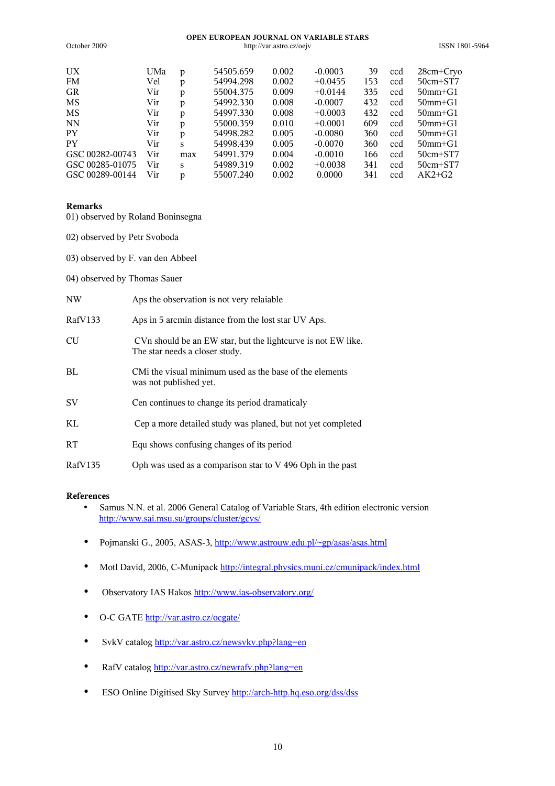#### **OPEN EUROPEAN JOURNAL ON VARIABLE STARS** October 2009 http://var.astro.cz/oejv ISSN 1801-5964

| UX              | UMa | p   | 54505.659 | 0.002 | $-0.0003$ | 39  | ccd | $28cm + Cry$  |
|-----------------|-----|-----|-----------|-------|-----------|-----|-----|---------------|
| <b>FM</b>       | Vel | p   | 54994.298 | 0.002 | $+0.0455$ | 153 | ccd | $50cm + ST7$  |
| GR              | Vir | p   | 55004.375 | 0.009 | $+0.0144$ | 335 | ccd | $50$ mm $+G1$ |
| MS              | Vir | p   | 54992.330 | 0.008 | $-0.0007$ | 432 | ccd | $50$ mm $+G1$ |
| MS              | Vir | p   | 54997.330 | 0.008 | $+0.0003$ | 432 | ccd | $50$ mm $+G1$ |
| <b>NN</b>       | Vir | p   | 55000.359 | 0.010 | $+0.0001$ | 609 | ccd | $50$ mm $+G1$ |
| <b>PY</b>       | Vir | D   | 54998.282 | 0.005 | $-0.0080$ | 360 | ccd | $50$ mm $+G1$ |
| PY              | Vir | S   | 54998.439 | 0.005 | $-0.0070$ | 360 | ccd | $50$ mm $+G1$ |
| GSC 00282-00743 | Vir | max | 54991.379 | 0.004 | $-0.0010$ | 166 | ccd | $50cm + ST7$  |
| GSC 00285-01075 | Vir | S   | 54989.319 | 0.002 | $+0.0038$ | 341 | ccd | $50cm + ST7$  |
| GSC 00289-00144 | Vir | D   | 55007.240 | 0.002 | 0.0000    | 341 | ccd | $AK2+G2$      |

#### **Remarks**

- 01) observed by Roland Boninsegna
- 02) observed by Petr Svoboda
- 03) observed by F. van den Abbeel
- 04) observed by Thomas Sauer

| NW      | Aps the observation is not very relaiable.                                                     |
|---------|------------------------------------------------------------------------------------------------|
| RafV133 | Aps in 5 arcmin distance from the lost star UV Aps.                                            |
| CU      | CVn should be an EW star, but the lightcurve is not EW like.<br>The star needs a closer study. |
| ВL      | CMi the visual minimum used as the base of the elements<br>was not published yet.              |
| SV      | Cen continues to change its period dramaticaly                                                 |
| KL      | Cep a more detailed study was planed, but not yet completed                                    |
| RT      | Equ shows confusing changes of its period                                                      |

RafV135 Oph was used as a comparison star to V 496 Oph in the past

# **References**

- Samus N.N. et al. 2006 General Catalog of Variable Stars, 4th edition electronic version <http://www.sai.msu.su/groups/cluster/gcvs/>
- Pojmanski G., 2005, ASAS-3,<http://www.astrouw.edu.pl/~gp/asas/asas.html>
- Motl David, 2006, C-Munipack<http://integral.physics.muni.cz/cmunipack/index.html>
- Observatory IAS Hakos <http://www.ias-observatory.org/>
- O-C GATE <http://var.astro.cz/ocgate/>
- SvkV catalog [http://var.astro.cz/newsvkv.php?lang=en](http://var.astro.cz/newrafv.php?lang=en)
- RafV catalog <http://var.astro.cz/newrafv.php?lang=en>
- ESO Online Digitised Sky Survey<http://arch-http.hq.eso.org/dss/dss>

10